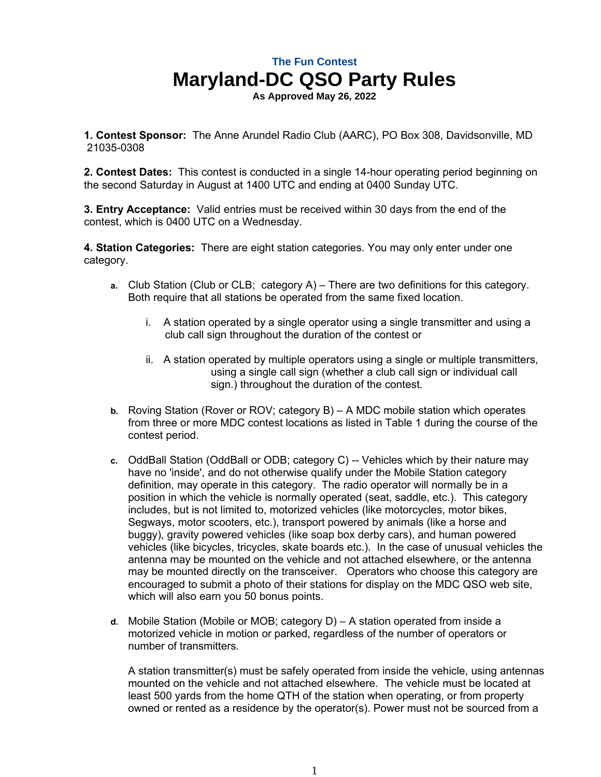**As Approved May 26, 2022**

**1. Contest Sponsor:** The Anne Arundel Radio Club (AARC), PO Box 308, Davidsonville, MD 21035-0308

**2. Contest Dates:** This contest is conducted in a single 14-hour operating period beginning on the second Saturday in August at 1400 UTC and ending at 0400 Sunday UTC.

**3. Entry Acceptance:** Valid entries must be received within 30 days from the end of the contest, which is 0400 UTC on a Wednesday.

**4. Station Categories:** There are eight station categories. You may only enter under one category.

- **a.** Club Station (Club or CLB; category A) There are two definitions for this category. Both require that all stations be operated from the same fixed location.
	- i. A station operated by a single operator using a single transmitter and using a club call sign throughout the duration of the contest or
	- ii. A station operated by multiple operators using a single or multiple transmitters, using a single call sign (whether a club call sign or individual call sign.) throughout the duration of the contest.
- **b.** Roving Station (Rover or ROV; category B) A MDC mobile station which operates from three or more MDC contest locations as listed in Table 1 during the course of the contest period.
- **c.** OddBall Station (OddBall or ODB; category C) -- Vehicles which by their nature may have no 'inside', and do not otherwise qualify under the Mobile Station category definition, may operate in this category. The radio operator will normally be in a position in which the vehicle is normally operated (seat, saddle, etc.). This category includes, but is not limited to, motorized vehicles (like motorcycles, motor bikes, Segways, motor scooters, etc.), transport powered by animals (like a horse and buggy), gravity powered vehicles (like soap box derby cars), and human powered vehicles (like bicycles, tricycles, skate boards etc.). In the case of unusual vehicles the antenna may be mounted on the vehicle and not attached elsewhere, or the antenna may be mounted directly on the transceiver. Operators who choose this category are encouraged to submit a photo of their stations for display on the MDC QSO web site, which will also earn you 50 bonus points.
- **d.** Mobile Station (Mobile or MOB; category D) A station operated from inside a motorized vehicle in motion or parked, regardless of the number of operators or number of transmitters.

A station transmitter(s) must be safely operated from inside the vehicle, using antennas mounted on the vehicle and not attached elsewhere. The vehicle must be located at least 500 yards from the home QTH of the station when operating, or from property owned or rented as a residence by the operator(s). Power must not be sourced from a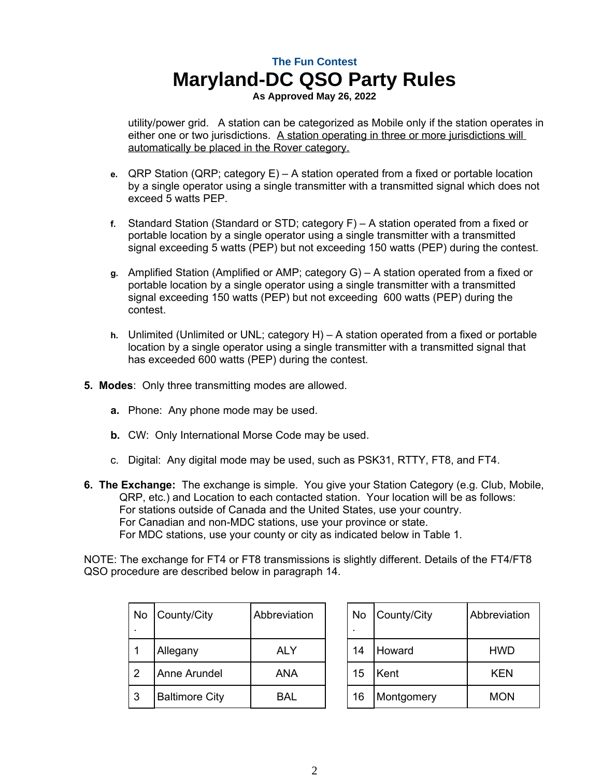**As Approved May 26, 2022**

utility/power grid. A station can be categorized as Mobile only if the station operates in either one or two jurisdictions. A station operating in three or more jurisdictions will automatically be placed in the Rover category.

- **e.** QRP Station (QRP; category E) A station operated from a fixed or portable location by a single operator using a single transmitter with a transmitted signal which does not exceed 5 watts PEP.
- **f.** Standard Station (Standard or STD; category F) A station operated from a fixed or portable location by a single operator using a single transmitter with a transmitted signal exceeding 5 watts (PEP) but not exceeding 150 watts (PEP) during the contest.
- **g.** Amplified Station (Amplified or AMP; category G) A station operated from a fixed or portable location by a single operator using a single transmitter with a transmitted signal exceeding 150 watts (PEP) but not exceeding 600 watts (PEP) during the contest.
- **h.** Unlimited (Unlimited or UNL; category H) A station operated from a fixed or portable location by a single operator using a single transmitter with a transmitted signal that has exceeded 600 watts (PEP) during the contest.
- **5. Modes**: Only three transmitting modes are allowed.
	- **a.** Phone: Any phone mode may be used.
	- **b.** CW: Only International Morse Code may be used.
	- c. Digital: Any digital mode may be used, such as PSK31, RTTY, FT8, and FT4.
- **6. The Exchange:** The exchange is simple. You give your Station Category (e.g. Club, Mobile, QRP, etc.) and Location to each contacted station. Your location will be as follows: For stations outside of Canada and the United States, use your country. For Canadian and non-MDC stations, use your province or state. For MDC stations, use your county or city as indicated below in Table 1.

NOTE: The exchange for FT4 or FT8 transmissions is slightly different. Details of the FT4/FT8 QSO procedure are described below in paragraph 14.

Abbreviation

| No | County/City           | Abbreviation | No | County/City | Abbreviat  |
|----|-----------------------|--------------|----|-------------|------------|
|    | Allegany              | <b>ALY</b>   | 14 | Howard      | <b>HWD</b> |
| 2  | Anne Arundel          | <b>ANA</b>   | 15 | Kent        | <b>KEN</b> |
| 3  | <b>Baltimore City</b> | BAL          | 16 | Montgomery  | <b>MON</b> |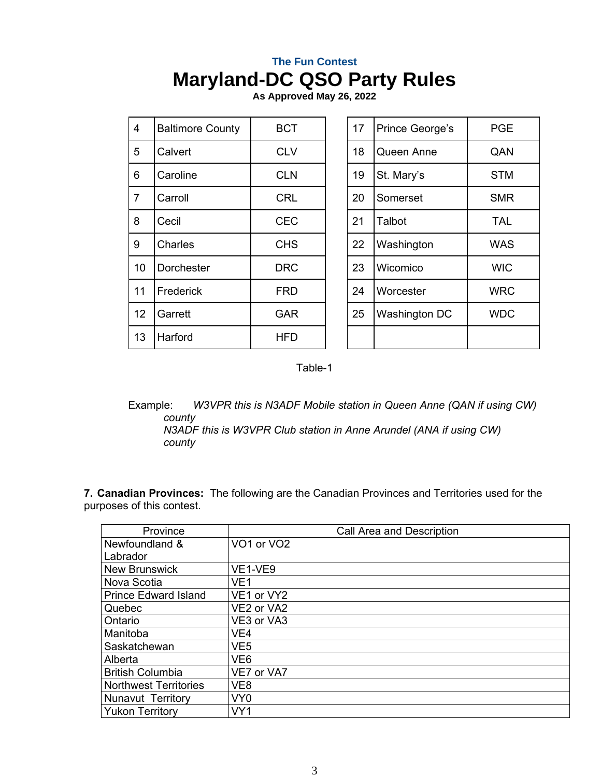**As Approved May 26, 2022**

| 4              | <b>Baltimore County</b> | <b>BCT</b> | 17 | Prince George's | <b>PGE</b> |
|----------------|-------------------------|------------|----|-----------------|------------|
| 5              | Calvert                 | <b>CLV</b> | 18 | Queen Anne      | QAN        |
| 6              | Caroline                | <b>CLN</b> | 19 | St. Mary's      | <b>STM</b> |
| $\overline{7}$ | Carroll                 | <b>CRL</b> | 20 | Somerset        | <b>SMR</b> |
| 8              | Cecil                   | <b>CEC</b> | 21 | Talbot          | <b>TAL</b> |
| 9              | Charles                 | <b>CHS</b> | 22 | Washington      | <b>WAS</b> |
| 10             | Dorchester              | <b>DRC</b> | 23 | Wicomico        | <b>WIC</b> |
| 11             | Frederick               | <b>FRD</b> | 24 | Worcester       | <b>WRC</b> |
| 12             | Garrett                 | <b>GAR</b> | 25 | Washington DC   | <b>WDC</b> |
| 13             | Harford                 | HFD        |    |                 |            |

Table-1

Example: *W3VPR this is N3ADF Mobile station in Queen Anne (QAN if using CW) county N3ADF this is W3VPR Club station in Anne Arundel (ANA if using CW)* 

*county*

**7. Canadian Provinces:** The following are the Canadian Provinces and Territories used for the purposes of this contest.

| Province                     | Call Area and Description |
|------------------------------|---------------------------|
| Newfoundland &               | VO1 or VO2                |
| Labrador                     |                           |
| <b>New Brunswick</b>         | VE1-VE9                   |
| Nova Scotia                  | VE1                       |
| <b>Prince Edward Island</b>  | VE1 or VY2                |
| Quebec                       | VE2 or VA2                |
| Ontario                      | VE3 or VA3                |
| Manitoba                     | VE4                       |
| Saskatchewan                 | VE5                       |
| Alberta                      | VE6                       |
| <b>British Columbia</b>      | VE7 or VA7                |
| <b>Northwest Territories</b> | VE <sub>8</sub>           |
| <b>Nunavut Territory</b>     | VY <sub>0</sub>           |
| <b>Yukon Territory</b>       | VY1                       |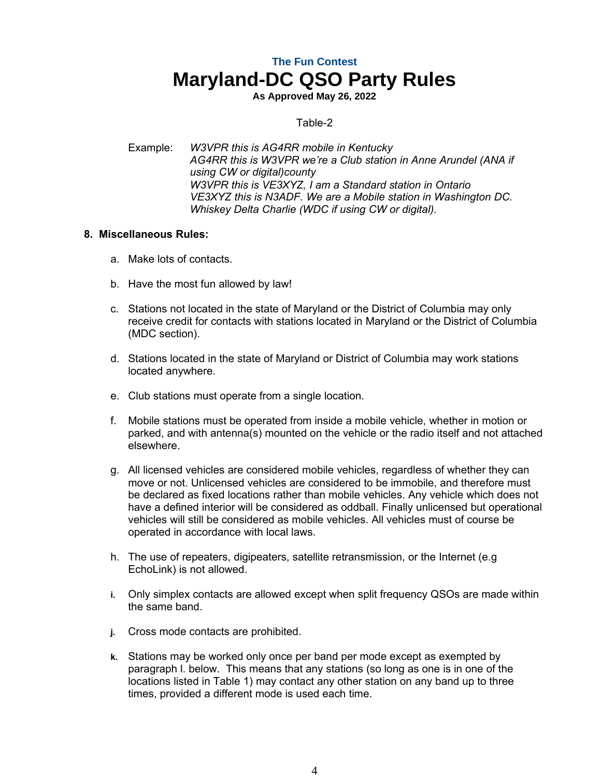**As Approved May 26, 2022**

#### Table-2

Example: *W3VPR this is AG4RR mobile in Kentucky AG4RR this is W3VPR we're a Club station in Anne Arundel (ANA if using CW or digital)county W3VPR this is VE3XYZ, I am a Standard station in Ontario VE3XYZ this is N3ADF. We are a Mobile station in Washington DC. Whiskey Delta Charlie (WDC if using CW or digital).*

#### **8. Miscellaneous Rules:**

- a. Make lots of contacts.
- b. Have the most fun allowed by law!
- c. Stations not located in the state of Maryland or the District of Columbia may only receive credit for contacts with stations located in Maryland or the District of Columbia (MDC section).
- d. Stations located in the state of Maryland or District of Columbia may work stations located anywhere.
- e. Club stations must operate from a single location.
- f. Mobile stations must be operated from inside a mobile vehicle, whether in motion or parked, and with antenna(s) mounted on the vehicle or the radio itself and not attached elsewhere.
- g. All licensed vehicles are considered mobile vehicles, regardless of whether they can move or not. Unlicensed vehicles are considered to be immobile, and therefore must be declared as fixed locations rather than mobile vehicles. Any vehicle which does not have a defined interior will be considered as oddball. Finally unlicensed but operational vehicles will still be considered as mobile vehicles. All vehicles must of course be operated in accordance with local laws.
- h. The use of repeaters, digipeaters, satellite retransmission, or the Internet (e.g EchoLink) is not allowed.
- **i.** Only simplex contacts are allowed except when split frequency QSOs are made within the same band.
- **j.** Cross mode contacts are prohibited.
- **k.** Stations may be worked only once per band per mode except as exempted by paragraph l. below. This means that any stations (so long as one is in one of the locations listed in Table 1) may contact any other station on any band up to three times, provided a different mode is used each time.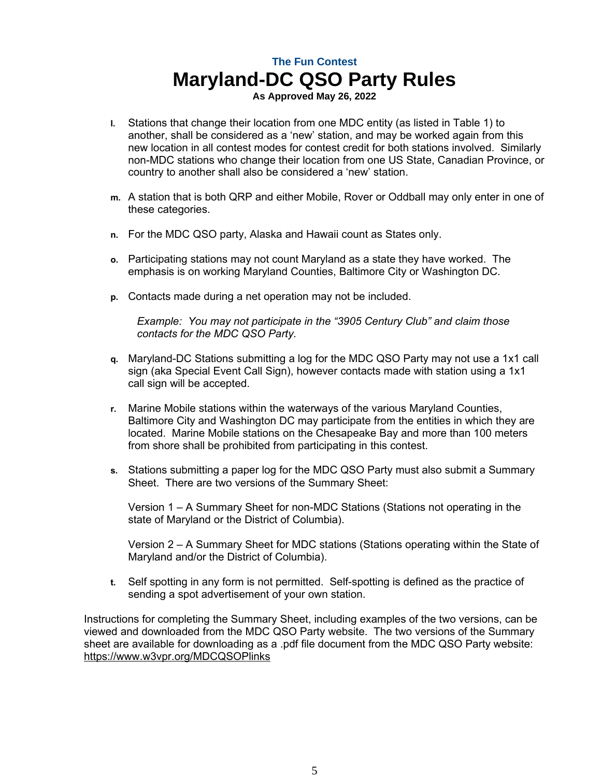**As Approved May 26, 2022**

- **l.** Stations that change their location from one MDC entity (as listed in Table 1) to another, shall be considered as a 'new' station, and may be worked again from this new location in all contest modes for contest credit for both stations involved. Similarly non-MDC stations who change their location from one US State, Canadian Province, or country to another shall also be considered a 'new' station.
- **m.** A station that is both QRP and either Mobile, Rover or Oddball may only enter in one of these categories.
- **n.** For the MDC QSO party, Alaska and Hawaii count as States only.
- **o.** Participating stations may not count Maryland as a state they have worked. The emphasis is on working Maryland Counties, Baltimore City or Washington DC.
- **p.** Contacts made during a net operation may not be included.

*Example: You may not participate in the "3905 Century Club" and claim those contacts for the MDC QSO Party.*

- **q.** Maryland-DC Stations submitting a log for the MDC QSO Party may not use a 1x1 call sign (aka Special Event Call Sign), however contacts made with station using a 1x1 call sign will be accepted.
- **r.** Marine Mobile stations within the waterways of the various Maryland Counties, Baltimore City and Washington DC may participate from the entities in which they are located. Marine Mobile stations on the Chesapeake Bay and more than 100 meters from shore shall be prohibited from participating in this contest.
- **s.** Stations submitting a paper log for the MDC QSO Party must also submit a Summary Sheet. There are two versions of the Summary Sheet:

Version 1 – A Summary Sheet for non-MDC Stations (Stations not operating in the state of Maryland or the District of Columbia).

Version 2 – A Summary Sheet for MDC stations (Stations operating within the State of Maryland and/or the District of Columbia).

**t.** Self spotting in any form is not permitted. Self-spotting is defined as the practice of sending a spot advertisement of your own station.

Instructions for completing the Summary Sheet, including examples of the two versions, can be viewed and downloaded from the MDC QSO Party website. The two versions of the Summary sheet are available for downloading as a .pdf file document from the MDC QSO Party website: https://www.w3vpr.org/MDCQSOPlinks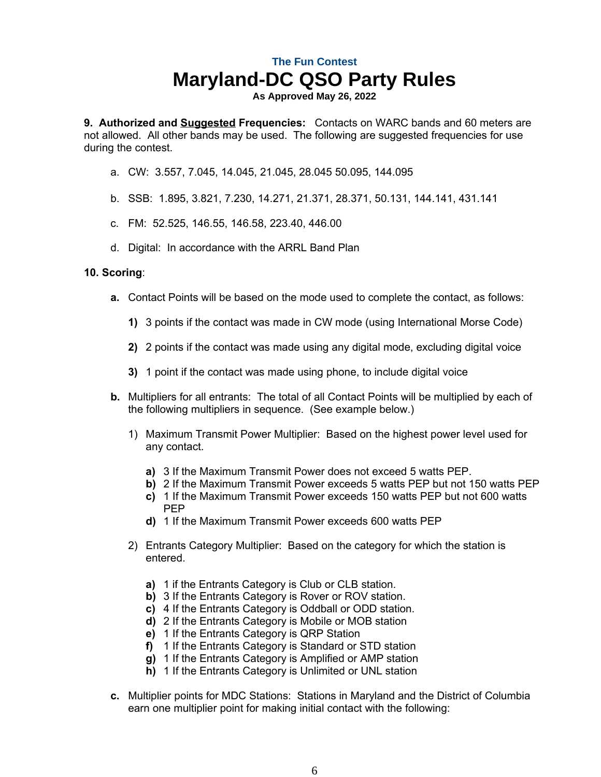**As Approved May 26, 2022**

**9. Authorized and Suggested Frequencies:** Contacts on WARC bands and 60 meters are not allowed. All other bands may be used. The following are suggested frequencies for use during the contest.

- a. CW: 3.557, 7.045, 14.045, 21.045, 28.045 50.095, 144.095
- b. SSB: 1.895, 3.821, 7.230, 14.271, 21.371, 28.371, 50.131, 144.141, 431.141
- c. FM: 52.525, 146.55, 146.58, 223.40, 446.00
- d. Digital: In accordance with the ARRL Band Plan

#### **10. Scoring**:

- **a.** Contact Points will be based on the mode used to complete the contact, as follows:
	- **1)** 3 points if the contact was made in CW mode (using International Morse Code)
	- **2)** 2 points if the contact was made using any digital mode, excluding digital voice
	- **3)** 1 point if the contact was made using phone, to include digital voice
- **b.** Multipliers for all entrants: The total of all Contact Points will be multiplied by each of the following multipliers in sequence. (See example below.)
	- 1) Maximum Transmit Power Multiplier: Based on the highest power level used for any contact.
		- **a)** 3 If the Maximum Transmit Power does not exceed 5 watts PEP.
		- **b)** 2 If the Maximum Transmit Power exceeds 5 watts PEP but not 150 watts PEP
		- **c)** 1 If the Maximum Transmit Power exceeds 150 watts PEP but not 600 watts PEP
		- **d)** 1 If the Maximum Transmit Power exceeds 600 watts PEP
	- 2) Entrants Category Multiplier: Based on the category for which the station is entered.
		- **a)** 1 if the Entrants Category is Club or CLB station.
		- **b)** 3 If the Entrants Category is Rover or ROV station.
		- **c)** 4 If the Entrants Category is Oddball or ODD station.
		- **d)** 2 If the Entrants Category is Mobile or MOB station
		- **e)** 1 If the Entrants Category is QRP Station
		- **f)** 1 If the Entrants Category is Standard or STD station
		- **g)** 1 If the Entrants Category is Amplified or AMP station
		- **h)** 1 If the Entrants Category is Unlimited or UNL station
- **c.** Multiplier points for MDC Stations: Stations in Maryland and the District of Columbia earn one multiplier point for making initial contact with the following: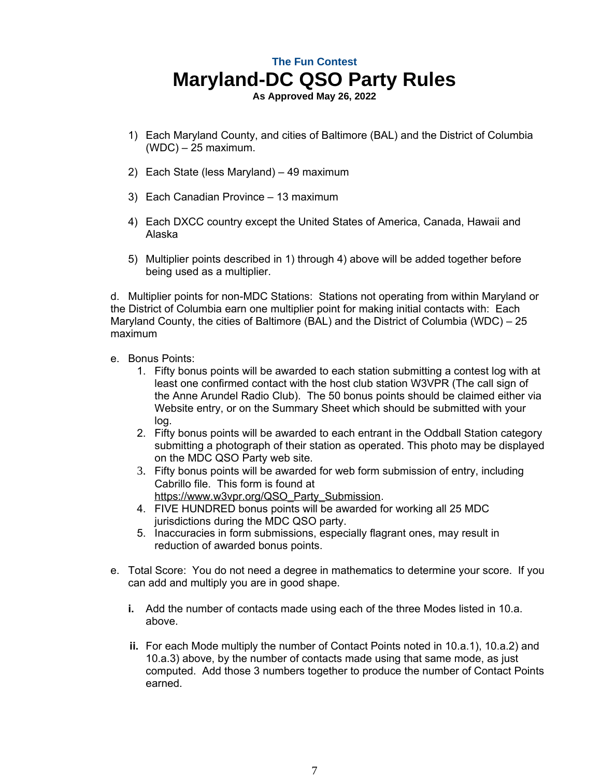**As Approved May 26, 2022**

- 1) Each Maryland County, and cities of Baltimore (BAL) and the District of Columbia (WDC) – 25 maximum.
- 2) Each State (less Maryland) 49 maximum
- 3) Each Canadian Province 13 maximum
- 4) Each DXCC country except the United States of America, Canada, Hawaii and Alaska
- 5) Multiplier points described in 1) through 4) above will be added together before being used as a multiplier.

d. Multiplier points for non-MDC Stations: Stations not operating from within Maryland or the District of Columbia earn one multiplier point for making initial contacts with: Each Maryland County, the cities of Baltimore (BAL) and the District of Columbia (WDC) – 25 maximum

- e. Bonus Points:
	- 1. Fifty bonus points will be awarded to each station submitting a contest log with at least one confirmed contact with the host club station W3VPR (The call sign of the Anne Arundel Radio Club). The 50 bonus points should be claimed either via Website entry, or on the Summary Sheet which should be submitted with your log.
	- 2. Fifty bonus points will be awarded to each entrant in the Oddball Station category submitting a photograph of their station as operated. This photo may be displayed on the MDC QSO Party web site.
	- 3. Fifty bonus points will be awarded for web form submission of entry, including Cabrillo file. This form is found at https://www.w3vpr.org/QSO\_Party\_Submission.
	- 4. FIVE HUNDRED bonus points will be awarded for working all 25 MDC jurisdictions during the MDC QSO party.
	- 5. Inaccuracies in form submissions, especially flagrant ones, may result in reduction of awarded bonus points.
- e. Total Score: You do not need a degree in mathematics to determine your score. If you can add and multiply you are in good shape.
	- **i.** Add the number of contacts made using each of the three Modes listed in 10.a. above.
	- **ii.** For each Mode multiply the number of Contact Points noted in 10.a.1), 10.a.2) and 10.a.3) above, by the number of contacts made using that same mode, as just computed. Add those 3 numbers together to produce the number of Contact Points earned.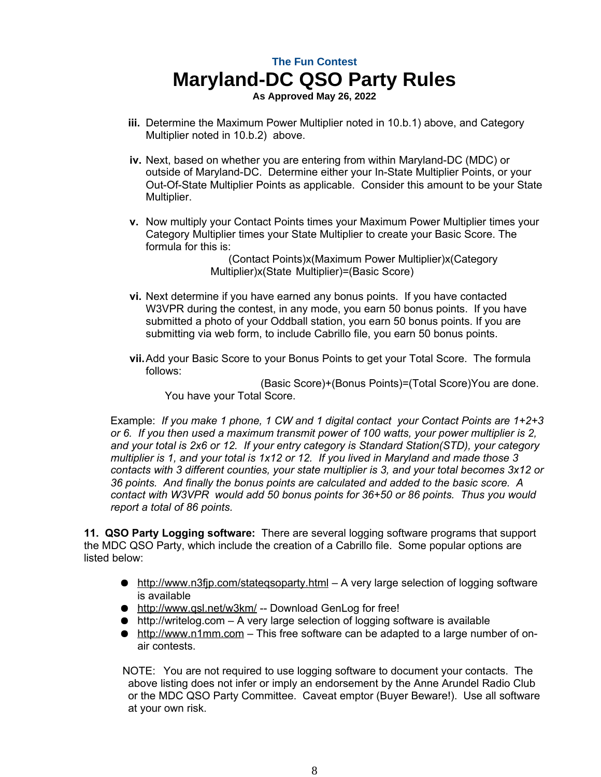**As Approved May 26, 2022**

- **iii.** Determine the Maximum Power Multiplier noted in 10.b.1) above, and Category Multiplier noted in 10.b.2) above.
- **iv.** Next, based on whether you are entering from within Maryland-DC (MDC) or outside of Maryland-DC. Determine either your In-State Multiplier Points, or your Out-Of-State Multiplier Points as applicable. Consider this amount to be your State Multiplier.
- **v.** Now multiply your Contact Points times your Maximum Power Multiplier times your Category Multiplier times your State Multiplier to create your Basic Score. The formula for this is:

 (Contact Points)x(Maximum Power Multiplier)x(Category Multiplier)x(State Multiplier)=(Basic Score)

- **vi.** Next determine if you have earned any bonus points. If you have contacted W3VPR during the contest, in any mode, you earn 50 bonus points. If you have submitted a photo of your Oddball station, you earn 50 bonus points. If you are submitting via web form, to include Cabrillo file, you earn 50 bonus points.
- **vii.**Add your Basic Score to your Bonus Points to get your Total Score. The formula follows:

 (Basic Score)+(Bonus Points)=(Total Score)You are done. You have your Total Score.

Example: *If you make 1 phone, 1 CW and 1 digital contact your Contact Points are 1+2+3 or 6. If you then used a maximum transmit power of 100 watts, your power multiplier is 2, and your total is 2x6 or 12. If your entry category is Standard Station(STD), your category multiplier is 1, and your total is 1x12 or 12. If you lived in Maryland and made those 3 contacts with 3 different counties, your state multiplier is 3, and your total becomes 3x12 or 36 points. And finally the bonus points are calculated and added to the basic score. A contact with W3VPR would add 50 bonus points for 36+50 or 86 points. Thus you would report a total of 86 points.* 

**11. QSO Party Logging software:** There are several logging software programs that support the MDC QSO Party, which include the creation of a Cabrillo file. Some popular options are listed below:

- http://www.n3fip.com/stategsoparty.html A very large selection of logging software is available
- http://www.qsl.net/w3km/ -- Download GenLog for free!
- $\bullet$  http://writelog.com A very large selection of logging software is available
- http://www.n1mm.com This free software can be adapted to a large number of onair contests.

 NOTE: You are not required to use logging software to document your contacts. The above listing does not infer or imply an endorsement by the Anne Arundel Radio Club or the MDC QSO Party Committee. Caveat emptor (Buyer Beware!). Use all software at your own risk.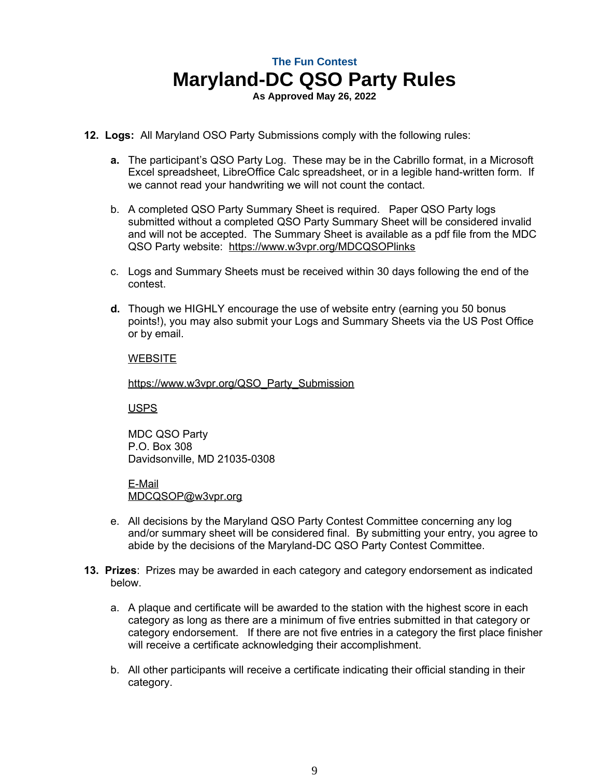**As Approved May 26, 2022**

- **12. Logs:** All Maryland OSO Party Submissions comply with the following rules:
	- **a.** The participant's QSO Party Log. These may be in the Cabrillo format, in a Microsoft Excel spreadsheet, LibreOffice Calc spreadsheet, or in a legible hand-written form. If we cannot read your handwriting we will not count the contact.
	- b. A completed QSO Party Summary Sheet is required. Paper QSO Party logs submitted without a completed QSO Party Summary Sheet will be considered invalid and will not be accepted. The Summary Sheet is available as a pdf file from the MDC QSO Party website: https://www.w3vpr.org/MDCQSOPlinks
	- c. Logs and Summary Sheets must be received within 30 days following the end of the contest.
	- **d.** Though we HIGHLY encourage the use of website entry (earning you 50 bonus points!), you may also submit your Logs and Summary Sheets via the US Post Office or by email.

#### **WEBSITE**

https://www.w3vpr.org/QSO\_Party\_Submission

USPS

MDC QSO Party P.O. Box 308 Davidsonville, MD 21035-0308

E-Mail MDCQSOP@w3vpr.org

- e. All decisions by the Maryland QSO Party Contest Committee concerning any log and/or summary sheet will be considered final. By submitting your entry, you agree to abide by the decisions of the Maryland-DC QSO Party Contest Committee.
- **13. Prizes**: Prizes may be awarded in each category and category endorsement as indicated below.
	- a. A plaque and certificate will be awarded to the station with the highest score in each category as long as there are a minimum of five entries submitted in that category or category endorsement. If there are not five entries in a category the first place finisher will receive a certificate acknowledging their accomplishment.
	- b. All other participants will receive a certificate indicating their official standing in their category.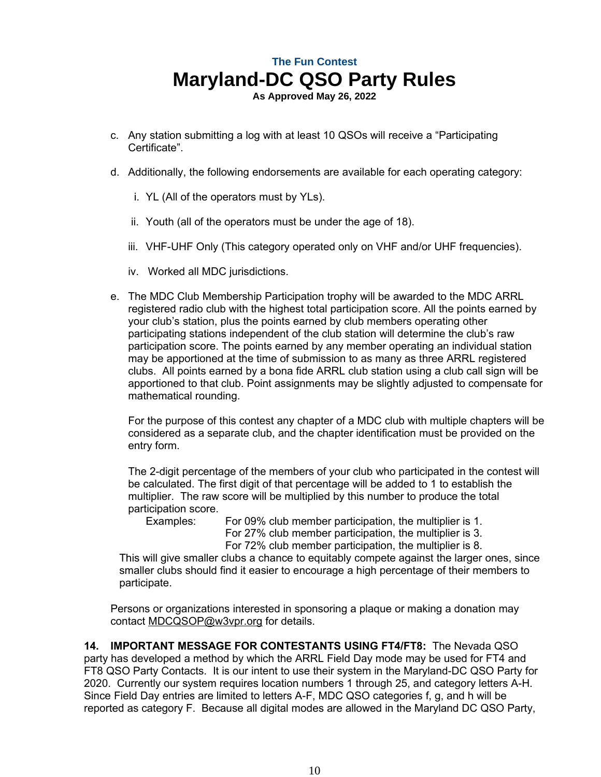**As Approved May 26, 2022**

- c. Any station submitting a log with at least 10 QSOs will receive a "Participating Certificate".
- d. Additionally, the following endorsements are available for each operating category:
	- i. YL (All of the operators must by YLs).
	- ii. Youth (all of the operators must be under the age of 18).
	- iii. VHF-UHF Only (This category operated only on VHF and/or UHF frequencies).
	- iv. Worked all MDC jurisdictions.
- e. The MDC Club Membership Participation trophy will be awarded to the MDC ARRL registered radio club with the highest total participation score. All the points earned by your club's station, plus the points earned by club members operating other participating stations independent of the club station will determine the club's raw participation score. The points earned by any member operating an individual station may be apportioned at the time of submission to as many as three ARRL registered clubs. All points earned by a bona fide ARRL club station using a club call sign will be apportioned to that club. Point assignments may be slightly adjusted to compensate for mathematical rounding.

For the purpose of this contest any chapter of a MDC club with multiple chapters will be considered as a separate club, and the chapter identification must be provided on the entry form.

The 2-digit percentage of the members of your club who participated in the contest will be calculated. The first digit of that percentage will be added to 1 to establish the multiplier. The raw score will be multiplied by this number to produce the total participation score.

Examples: For 09% club member participation, the multiplier is 1. For 27% club member participation, the multiplier is 3. For 72% club member participation, the multiplier is 8.

This will give smaller clubs a chance to equitably compete against the larger ones, since smaller clubs should find it easier to encourage a high percentage of their members to participate.

Persons or organizations interested in sponsoring a plaque or making a donation may contact MDCQSOP@w3vpr.org for details.

**14. IMPORTANT MESSAGE FOR CONTESTANTS USING FT4/FT8:** The Nevada QSO party has developed a method by which the ARRL Field Day mode may be used for FT4 and FT8 QSO Party Contacts. It is our intent to use their system in the Maryland-DC QSO Party for 2020. Currently our system requires location numbers 1 through 25, and category letters A-H. Since Field Day entries are limited to letters A-F, MDC QSO categories f, g, and h will be reported as category F. Because all digital modes are allowed in the Maryland DC QSO Party,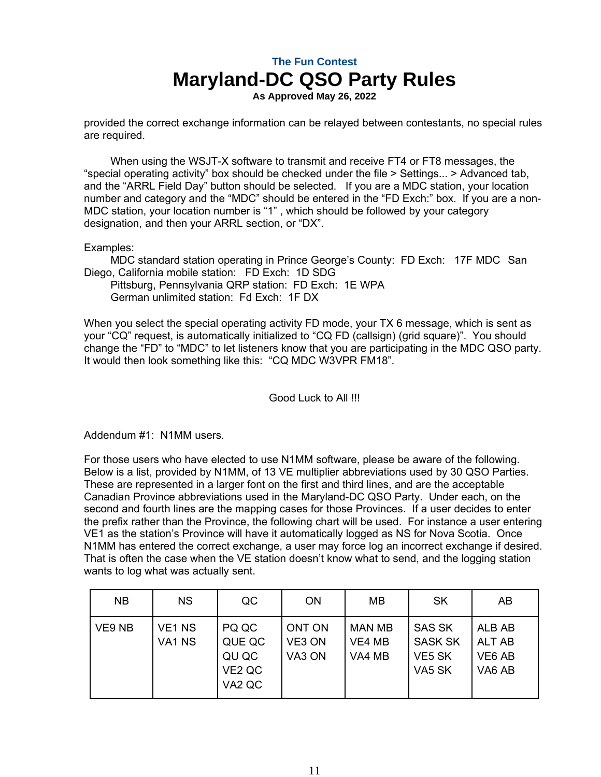**As Approved May 26, 2022**

provided the correct exchange information can be relayed between contestants, no special rules are required.

When using the WSJT-X software to transmit and receive FT4 or FT8 messages, the "special operating activity" box should be checked under the file > Settings... > Advanced tab, and the "ARRL Field Day" button should be selected. If you are a MDC station, your location number and category and the "MDC" should be entered in the "FD Exch:" box. If you are a non-MDC station, your location number is "1" , which should be followed by your category designation, and then your ARRL section, or "DX".

Examples:

MDC standard station operating in Prince George's County: FD Exch: 17F MDC San Diego, California mobile station: FD Exch: 1D SDG

Pittsburg, Pennsylvania QRP station: FD Exch: 1E WPA German unlimited station: Fd Exch: 1F DX

When you select the special operating activity FD mode, your TX 6 message, which is sent as your "CQ" request, is automatically initialized to "CQ FD (callsign) (grid square)". You should change the "FD" to "MDC" to let listeners know that you are participating in the MDC QSO party. It would then look something like this: "CQ MDC W3VPR FM18".

Good Luck to All !!!

Addendum #1: N1MM users.

For those users who have elected to use N1MM software, please be aware of the following. Below is a list, provided by N1MM, of 13 VE multiplier abbreviations used by 30 QSO Parties. These are represented in a larger font on the first and third lines, and are the acceptable Canadian Province abbreviations used in the Maryland-DC QSO Party. Under each, on the second and fourth lines are the mapping cases for those Provinces. If a user decides to enter the prefix rather than the Province, the following chart will be used. For instance a user entering VE1 as the station's Province will have it automatically logged as NS for Nova Scotia. Once N1MM has entered the correct exchange, a user may force log an incorrect exchange if desired. That is often the case when the VE station doesn't know what to send, and the logging station wants to log what was actually sent.

| <b>NB</b> | <b>NS</b>                                | QC                                                                                           | <b>ON</b>                                          | MВ                         | <b>SK</b>                                           | AB                                                                                   |
|-----------|------------------------------------------|----------------------------------------------------------------------------------------------|----------------------------------------------------|----------------------------|-----------------------------------------------------|--------------------------------------------------------------------------------------|
| VE9 NB    | VE <sub>1</sub> N <sub>S</sub><br>VA1 NS | PQ QC<br>QUE QC<br>QU QC<br>VE <sub>2</sub> Q <sub>C</sub><br>VA <sub>2</sub> Q <sub>C</sub> | ONT ON<br>VE <sub>3</sub> ON<br>VA <sub>3</sub> ON | MAN MB<br>VE4 MB<br>VA4 MB | <b>SAS SK</b><br><b>SASK SK</b><br>VE5 SK<br>VA5 SK | ALB AB<br>ALT AB<br>VE <sub>6</sub> A <sub>B</sub><br>VA <sub>6</sub> A <sub>B</sub> |